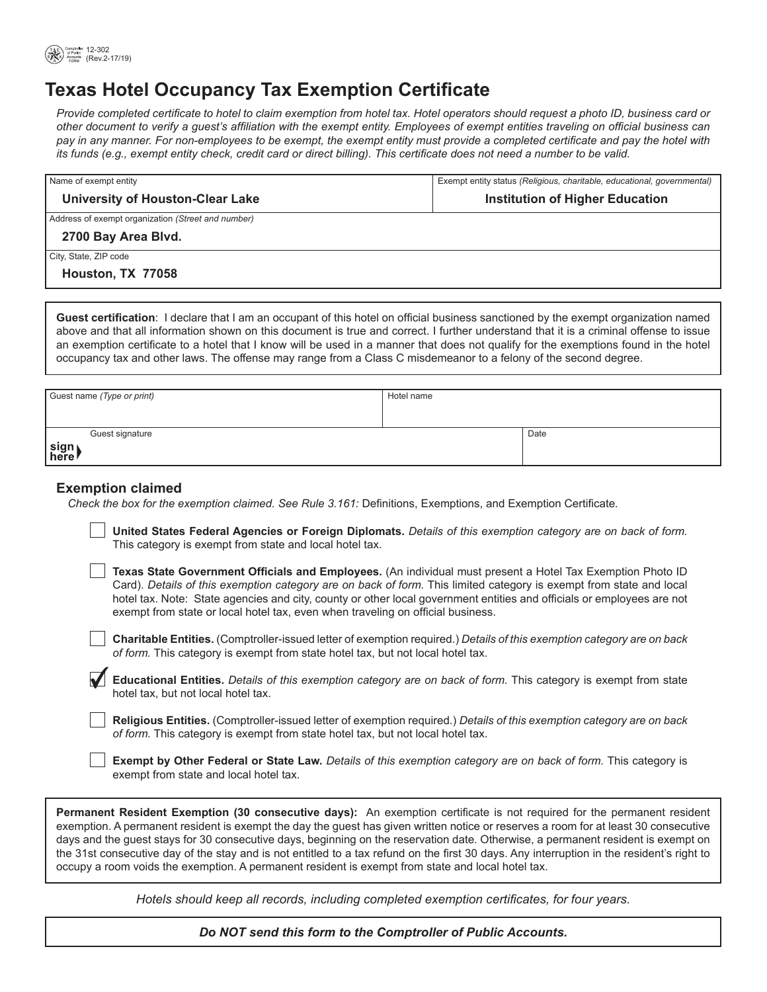

# **Texas Hotel Occupancy Tax Exemption Certificate**

Provide completed certificate to hotel to claim exemption from hotel tax. Hotel operators should request a photo ID, business card or other document to verify a guest's affiliation with the exempt entity. Employees of exempt entities traveling on official business can pay in any manner. For non-employees to be exempt, the exempt entity must provide a completed certificate and pay the hotel with its funds (e.g., exempt entity check, credit card or direct billing). This certificate does not need a number to be valid.

| Name of exempt entity                              | Exempt entity status (Religious, charitable, educational, governmental) |  |
|----------------------------------------------------|-------------------------------------------------------------------------|--|
| <b>University of Houston-Clear Lake</b>            | <b>Institution of Higher Education</b>                                  |  |
| Address of exempt organization (Street and number) |                                                                         |  |
| 2700 Bay Area Blvd.                                |                                                                         |  |
| City, State, ZIP code                              |                                                                         |  |
| Houston, TX 77058                                  |                                                                         |  |

Guest certification: I declare that I am an occupant of this hotel on official business sanctioned by the exempt organization named above and that all information shown on this document is true and correct. I further understand that it is a criminal offense to issue an exemption certificate to a hotel that I know will be used in a manner that does not qualify for the exemptions found in the hotel occupancy tax and other laws. The offense may range from a Class C misdemeanor to a felony of the second degree.

| Guest name (Type or print) | Hotel name |      |
|----------------------------|------------|------|
| Guest signature            |            | Date |
| sign)<br>\here             |            |      |

# **Exemption claimed**

Check the box for the exemption claimed. See Rule 3.161: Definitions, Exemptions, and Exemption Certificate.

United States Federal Agencies or Foreign Diplomats. Details of this exemption category are on back of form. This category is exempt from state and local hotel tax.

Texas State Government Officials and Employees. (An individual must present a Hotel Tax Exemption Photo ID Card). Details of this exemption category are on back of form. This limited category is exempt from state and local hotel tax. Note: State agencies and city, county or other local government entities and officials or employees are not exempt from state or local hotel tax, even when traveling on official business.

Charitable Entities. (Comptroller-issued letter of exemption required.) Details of this exemption category are on back of form. This category is exempt from state hotel tax, but not local hotel tax.

Educational Entities. Details of this exemption category are on back of form. This category is exempt from state hotel tax, but not local hotel tax.

Religious Entities. (Comptroller-issued letter of exemption required.) Details of this exemption category are on back of form. This category is exempt from state hotel tax, but not local hotel tax.

Exempt by Other Federal or State Law. Details of this exemption category are on back of form. This category is exempt from state and local hotel tax.

Permanent Resident Exemption (30 consecutive days): An exemption certificate is not required for the permanent resident exemption. A permanent resident is exempt the day the guest has given written notice or reserves a room for at least 30 consecutive days and the guest stays for 30 consecutive days, beginning on the reservation date. Otherwise, a permanent resident is exempt on the 31st consecutive day of the stay and is not entitled to a tax refund on the first 30 days. Any interruption in the resident's right to occupy a room voids the exemption. A permanent resident is exempt from state and local hotel tax.

Hotels should keep all records, including completed exemption certificates, for four years.

Do NOT send this form to the Comptroller of Public Accounts.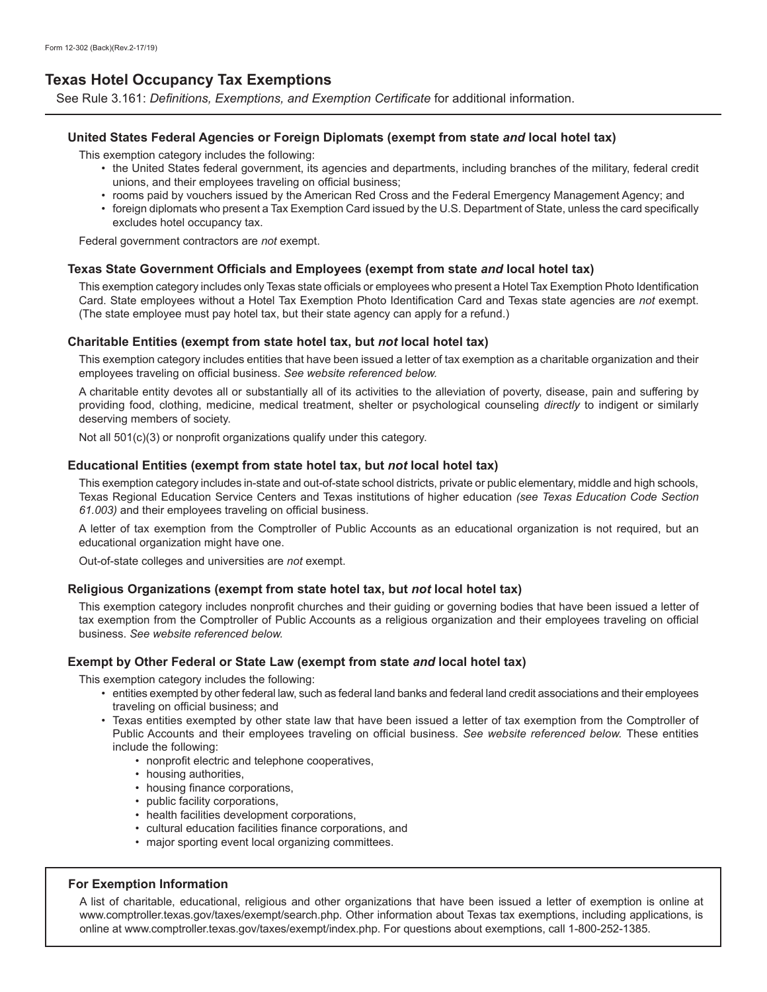# **Texas Hotel Occupancy Tax Exemptions**

See Rule 3.161: *Definitions, Exemptions, and Exemption Certificate* for additional information.

## **United States Federal Agencies or Foreign Diplomats (exempt from state** *and* **local hotel tax)**

This exemption category includes the following:

- the United States federal government, its agencies and departments, including branches of the military, federal credit unions, and their employees traveling on official business:
- rooms paid by vouchers issued by the American Red Cross and the Federal Emergency Management Agency; and
- foreign diplomats who present a Tax Exemption Card issued by the U.S. Department of State, unless the card specifically excludes hotel occupancy tax.

Federal government contractors are not exempt.

#### **7exas State Government Officials and Employees (exempt from state and local hotel tax)**

This exemption category includes only Texas state officials or employees who present a Hotel Tax Exemption Photo Identification Card. State employees without a Hotel Tax Exemption Photo Identification Card and Texas state agencies are *not* exempt. (The state employee must pay hotel tax, but their state agency can apply for a refund.)

#### **Charitable Entities (exempt from state hotel tax, but** *not* **local hotel tax)**

This exemption category includes entities that have been issued a letter of tax exemption as a charitable organization and their employees traveling on official business. See website referenced below.

A charitable entity devotes all or substantially all of its activities to the alleviation of poverty, disease, pain and suffering by providing food, clothing, medicine, medical treatment, shelter or psychological counseling directly to indigent or similarly deserving members of society.

Not all  $501(c)(3)$  or nonprofit organizations qualify under this category.

#### **Educational Entities (exempt from state hotel tax, but** *not* **local hotel tax)**

This exemption category includes in-state and out-of-state school districts, private or public elementary, middle and high schools, Texas Regional Education Service Centers and Texas institutions of higher education (see Texas Education Code Section 61.003) and their employees traveling on official business.

A letter of tax exemption from the Comptroller of Public Accounts as an educational organization is not required, but an educational organization might have one.

Out-of-state colleges and universities are not exempt.

# **Religious Organizations (exempt from state hotel tax, but** *not* **local hotel tax)**

This exemption category includes nonprofit churches and their guiding or governing bodies that have been issued a letter of tax exemption from the Comptroller of Public Accounts as a religious organization and their employees traveling on official business. See website referenced below.

#### **Exempt by Other Federal or State Law (exempt from state** *and* **local hotel tax)**

This exemption category includes the following:

- entities exempted by other federal law, such as federal land banks and federal land credit associations and their employees traveling on official business; and
- Texas entities exempted by other state law that have been issued a letter of tax exemption from the Comptroller of Public Accounts and their employees traveling on official business. See website referenced below. These entities include the following:
- nonprofit electric and telephone cooperatives,
- housing authorities,
- housing finance corporations,
- public facility corporations,
- health facilities development corporations,
- cultural education facilities finance corporations, and
- major sporting event local organizing committees.

## **For Exemption Information**

A list of charitable, educational, religious and other organizations that have been issued a letter of exemption is online at www.comptroller.texas.gov/taxes/exempt/search.php. Other information about Texas tax exemptions, including applications, is online at www.comptroller.texas.gov/taxes/exempt/index.php. For questions about exemptions, call 1-800-252-1385.